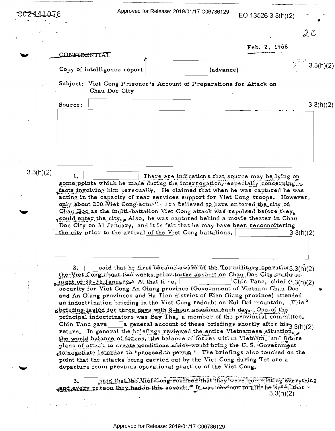|           |              |                                                                                                                                                             | Approved for Release: 2019/01/17 C06786129 |                                                                                        | EO 13526 3.3(h)(2)            |                         |
|-----------|--------------|-------------------------------------------------------------------------------------------------------------------------------------------------------------|--------------------------------------------|----------------------------------------------------------------------------------------|-------------------------------|-------------------------|
|           |              |                                                                                                                                                             |                                            |                                                                                        |                               | $\mathcal{L}$ C         |
|           |              |                                                                                                                                                             |                                            |                                                                                        | Feb. 2, 1968                  |                         |
|           | CONFIDENTIAI |                                                                                                                                                             |                                            |                                                                                        |                               |                         |
|           |              | Copy of intelligence report                                                                                                                                 |                                            | (advance)                                                                              |                               | $2^{2^{3/3}}$ 3.3(h)(2) |
|           |              | Subject: Viet Cong Prisoner's Account of Preparations for Attack on<br>Chau Doc City                                                                        |                                            |                                                                                        |                               |                         |
|           | Source:      |                                                                                                                                                             |                                            |                                                                                        |                               | 3.3(h)(2)               |
|           |              |                                                                                                                                                             |                                            |                                                                                        |                               |                         |
|           |              |                                                                                                                                                             |                                            |                                                                                        |                               |                         |
|           |              |                                                                                                                                                             |                                            |                                                                                        |                               |                         |
|           |              |                                                                                                                                                             |                                            |                                                                                        |                               |                         |
|           |              |                                                                                                                                                             |                                            |                                                                                        |                               |                         |
| 3.3(h)(2) | 1.           |                                                                                                                                                             |                                            | There are indications that source may be lying on                                      |                               |                         |
|           |              | some points which he made during the interrogation, especially concerning.<br>afacts involving him personally. He claimed that when he was captured he was  |                                            |                                                                                        |                               |                         |
|           |              | acting in the capacity of rear services support for Viet Cong troops. However,                                                                              |                                            |                                                                                        |                               |                         |
|           |              | only about 200 Wiet Congractually and believed to have entered the city of                                                                                  |                                            |                                                                                        |                               |                         |
|           |              | Chau Doc as the multi-battalion Viet Cong attack was repulsed before they<br>could enter the city. Also, he was captured behind a movie theater in Chau     |                                            |                                                                                        |                               |                         |
|           |              | Doc City on 31 January, and it is felt that he may have been reconnoitering                                                                                 |                                            |                                                                                        |                               |                         |
|           |              | the city prior to the arrival of the Viet Cong battalions.                                                                                                  |                                            |                                                                                        |                               | 3.3(h)(2)               |
|           |              |                                                                                                                                                             |                                            |                                                                                        |                               |                         |
|           |              |                                                                                                                                                             |                                            |                                                                                        |                               |                         |
|           | 2.           |                                                                                                                                                             |                                            | said that he first became aware of the Tet military operation3.3(h)(2)                 |                               |                         |
|           |              | the Viet Cong about two weeks prior to the assault on Chau Doc City on the set                                                                              |                                            |                                                                                        |                               |                         |
|           |              | $\ldots$ might of 30-31 January At that time,<br>security for Viet Cong An Giang province (Government of Vietnam Chau Doc                                   |                                            |                                                                                        | Chin Tanc, chief $(3.3(h)/2)$ |                         |
|           |              | and An Giang provinces and Ha Tien district of Kien Giang province) attended                                                                                |                                            |                                                                                        |                               |                         |
|           |              | an indoctrination briefing in the Viet Cong redoubt on Nui Dai mountain. This. <sup>10</sup>                                                                |                                            |                                                                                        |                               |                         |
|           |              | gbriefing lasted for three days with 8-hour sessions each day. One of the<br>principal indoctrinators was Bay Tha, a member of the provincial committee.    |                                            |                                                                                        |                               |                         |
|           |              | Chin Tanc gave                                                                                                                                              |                                            | a general account of these briefings shortly after $\overline{\text{his}}_{3.3(h)(2)}$ |                               |                         |
|           |              | return. In general the briefings reviewed the entire Vietnamese situation,                                                                                  |                                            |                                                                                        |                               |                         |
|           |              | the world balance of forces, the balance of forces within Vietnam, and future<br>plans of attack to create conditions which would bring the U.S. Government |                                            |                                                                                        |                               |                         |
|           |              | to negotiate in order to "proceed to peace." The briefings also touched on the                                                                              |                                            |                                                                                        |                               |                         |
|           |              | point that the attacks being carried out by the Viet Cong during Tet are a<br>departure from previous operational practice of the Viet Cong.                |                                            |                                                                                        |                               |                         |
|           | 3.           |                                                                                                                                                             |                                            | said that the Wiel Cong realized that they were committing everything                  |                               |                         |
|           |              | and every person they had in this assault. <sup>4</sup> It was obvious to all, he said. that                                                                |                                            |                                                                                        | 3.3(h)(2)                     |                         |
|           |              |                                                                                                                                                             |                                            |                                                                                        |                               |                         |
|           |              |                                                                                                                                                             |                                            |                                                                                        |                               |                         |

 $\sim$   $\sim$